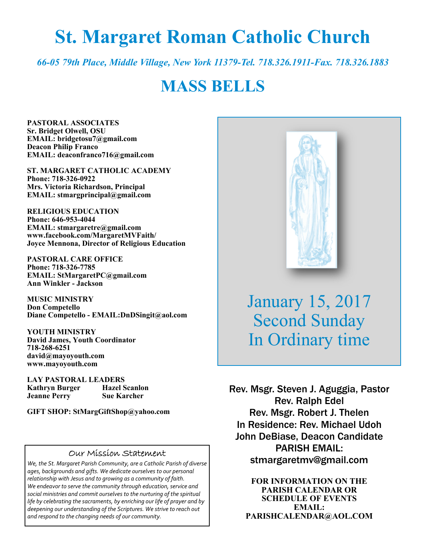# **St. Margaret Roman Catholic Church**

*66-05 79th Place, Middle Village, New York 11379-Tel. 718.326.1911-Fax. 718.326.1883* 

# **MASS BELLS**

**PASTORAL ASSOCIATES Sr. Bridget Olwell, OSU EMAIL: bridgetosu7@gmail.com Deacon Philip Franco EMAIL: deaconfranco716@gmail.com** 

**ST. MARGARET CATHOLIC ACADEMY Phone: 718-326-0922 Mrs. Victoria Richardson, Principal EMAIL: stmargprincipal@gmail.com** 

**RELIGIOUS EDUCATION Phone: 646-953-4044 EMAIL: stmargaretre@gmail.com www.facebook.com/MargaretMVFaith/ Joyce Mennona, Director of Religious Education** 

**PASTORAL CARE OFFICE Phone: 718-326-7785 EMAIL: StMargaretPC@gmail.com Ann Winkler - Jackson** 

**MUSIC MINISTRY Don Competello Diane Competello - EMAIL:DnDSingit@aol.com** 

**YOUTH MINISTRY David James, Youth Coordinator 718-268-6251 david@mayoyouth.com www.mayoyouth.com** 

**LAY PASTORAL LEADERS Kathryn Burger Hazel Scanlon Jeanne Perry Sue Karcher** 

**GIFT SHOP: StMargGiftShop@yahoo.com**

#### Our Mission Statement

*We, the St. Margaret Parish Community, are a Catholic Parish of diverse ages, backgrounds and gifts. We dedicate ourselves to our personal relationship with Jesus and to growing as a community of faith. We endeavor to serve the community through education, service and social ministries and commit ourselves to the nurturing of the spiritual life by celebrating the sacraments, by enriching our life of prayer and by deepening our understanding of the Scriptures. We strive to reach out and respond to the changing needs of our community.*



January 15, 2017 Second Sunday In Ordinary time

Rev. Msgr. Steven J. Aguggia, Pastor Rev. Ralph Edel Rev. Msgr. Robert J. Thelen In Residence: Rev. Michael Udoh John DeBiase, Deacon Candidate PARISH EMAIL: stmargaretmv@gmail.com

> **FOR INFORMATION ON THE PARISH CALENDAR OR SCHEDULE OF EVENTS EMAIL: PARISHCALENDAR@AOL.COM**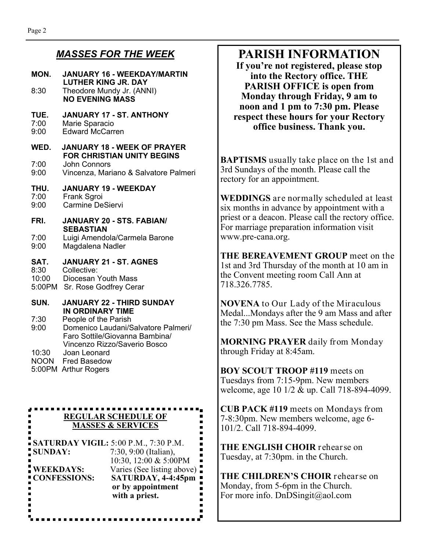#### *MASSES FOR THE WEEK*

#### **MON. JANUARY 16 - WEEKDAY/MARTIN LUTHER KING JR. DAY**  8:30 Theodore Mundy Jr. (ANNI) **NO EVENING MASS TUE. JANUARY 17 - ST. ANTHONY**  7:00 Marie Sparacio<br>9:00 Fdward McCarr Edward McCarren **WED. JANUARY 18 - WEEK OF PRAYER FOR CHRISTIAN UNITY BEGINS**  7:00 John Connors 9:00 Vincenza, Mariano & Salvatore Palmeri **THU. JANUARY 19 - WEEKDAY**  7:00 Frank Sgroi 9:00 Carmine DeSiervi **FRI. JANUARY 20 - STS. FABIAN/ SEBASTIAN**  7:00 Luigi Amendola/Carmela Barone 9:00 Magdalena Nadler **SAT. JANUARY 21 - ST. AGNES**  8:30 Collective: 10:00 Diocesan Youth Mass 5:00PM Sr. Rose Godfrey Cerar **SUN. JANUARY 22 - THIRD SUNDAY IN ORDINARY TIME**<br>7:30 People of the Parish People of the Parish 9:00 Domenico Laudani/Salvatore Palmeri/ Faro Sottile/Giovanna Bambina/ Vincenzo Rizzo/Saverio Bosco<br>10:30 Joan Leonard Joan Leonard NOON Fred Basedow 5:00PM Arthur Rogers . . . . . . . . . . . **REGULAR SCHEDULE OF MASSES & SERVICES SATURDAY VIGIL:** 5:00 P.M., 7:30 P.M.  $\blacksquare$ **SUNDAY:** 7:30, 9:00 (Italian), 10:30, 12:00 & 5:00PM **WEEKDAYS:** Varies (See listing above)

**CONFESSIONS: SATURDAY, 4-4:45pm or by appointment with a priest.**

. . . . . . . . .

# **PARISH INFORMATION**

**If you're not registered, please stop into the Rectory office. THE PARISH OFFICE is open from Monday through Friday, 9 am to noon and 1 pm to 7:30 pm. Please respect these hours for your Rectory office business. Thank you.** 

**BAPTISMS** usually take place on the 1st and 3rd Sundays of the month. Please call the rectory for an appointment.

**WEDDINGS** are normally scheduled at least six months in advance by appointment with a priest or a deacon. Please call the rectory office. For marriage preparation information visit www.pre-cana.org.

**THE BEREAVEMENT GROUP** meet on the 1st and 3rd Thursday of the month at 10 am in the Convent meeting room Call Ann at 718.326.7785.

**NOVENA** to Our Lady of the Miraculous Medal...Mondays after the 9 am Mass and after the 7:30 pm Mass. See the Mass schedule.

**MORNING PRAYER** daily from Monday through Friday at 8:45am.

**BOY SCOUT TROOP #119** meets on Tuesdays from 7:15-9pm. New members welcome, age 10 1/2 & up. Call 718-894-4099.

**CUB PACK #119** meets on Mondays from 7-8:30pm. New members welcome, age 6- 101/2. Call 718-894-4099.

**THE ENGLISH CHOIR** rehearse on Tuesday, at 7:30pm. in the Church.

**THE CHILDREN'S CHOIR** rehearse on Monday, from 5-6pm in the Church. For more info. DnDSingit@aol.com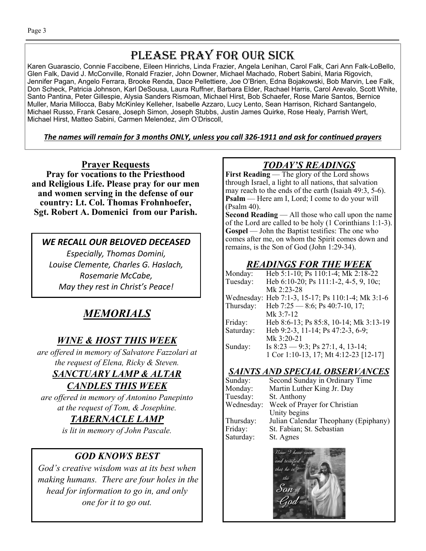# PLEASE PRAY FOR OUR SICK

Karen Guarascio, Connie Faccibene, Eileen Hinrichs, Linda Frazier, Angela Lenihan, Carol Falk, Cari Ann Falk-LoBello, Glen Falk, David J. McConville, Ronald Frazier, John Downer, Michael Machado, Robert Sabini, Maria Rigovich, Jennifer Pagan, Angelo Ferrara, Brooke Renda, Dace Pellettiere, Joe O'Brien, Edna Bojakowski, Bob Marvin, Lee Falk, Don Scheck, Patricia Johnson, Karl DeSousa, Laura Ruffner, Barbara Elder, Rachael Harris, Carol Arevalo, Scott White, Santo Pantina, Peter Gillespie, Alysia Sanders Rismoan, Michael Hirst, Bob Schaefer, Rose Marie Santos, Bernice Muller, Maria Millocca, Baby McKinley Kelleher, Isabelle Azzaro, Lucy Lento, Sean Harrison, Richard Santangelo, Michael Russo, Frank Cesare, Joseph Simon, Joseph Stubbs, Justin James Quirke, Rose Healy, Parrish Wert, Michael Hirst, Matteo Sabini, Carmen Melendez, Jim O'Driscoll,

#### The names will remain for 3 months ONLY, unless you call 326-1911 and ask for continued prayers

**Prayer Requests Pray for vocations to the Priesthood and Religious Life. Please pray for our men and women serving in the defense of our country: Lt. Col. Thomas Frohnhoefer, Sgt. Robert A. Domenici from our Parish.**

#### *WE RECALL OUR BELOVED DECEASED*

*Especially, Thomas Domini, Louise Clemente, Charles G. Haslach, Rosemarie McCabe, May they rest in Christ's Peace!* 

# *MEMORIALS*

## *WINE & HOST THIS WEEK*

*are offered in memory of Salvatore Fazzolari at the request of Elena, Ricky & Steven. SANCTUARY LAMP & ALTAR* 

# *CANDLES THIS WEEK*

*are offered in memory of Antonino Panepinto at the request of Tom, & Josephine.* 

#### *TABERNACLE LAMP*

*is lit in memory of John Pascale.* 

## *GOD KNOWS BEST*

*God's creative wisdom was at its best when making humans. There are four holes in the head for information to go in, and only one for it to go out.* 

# *TODAY'S READINGS*

**First Reading** — The glory of the Lord shows through Israel, a light to all nations, that salvation may reach to the ends of the earth (Isaiah 49:3, 5-6). **Psalm** — Here am I, Lord; I come to do your will (Psalm 40).

**Second Reading** — All those who call upon the name of the Lord are called to be holy (1 Corinthians 1:1-3). **Gospel** — John the Baptist testifies: The one who comes after me, on whom the Spirit comes down and remains, is the Son of God (John 1:29-34).

#### *READINGS FOR THE WEEK*

| Monday:   | Heb 5:1-10; Ps 110:1-4; Mk 2:18-22                |
|-----------|---------------------------------------------------|
| Tuesday:  | Heb 6:10-20; Ps 111:1-2, 4-5, 9, 10c;             |
|           | Mk 2:23-28                                        |
|           | Wednesday: Heb 7:1-3, 15-17; Ps 110:1-4; Mk 3:1-6 |
| Thursday: | Heb 7:25 – 8:6; Ps 40:7-10, 17;                   |
|           | Mk 3:7-12                                         |
| Friday:   | Heb 8:6-13; Ps 85:8, 10-14; Mk 3:13-19            |
| Saturday: | Heb 9:2-3, 11-14; Ps 47:2-3, 6-9;                 |
|           | Mk 3:20-21                                        |
| Sunday:   | Is $8:23 - 9:3$ ; Ps $27:1, 4, 13-14$ ;           |
|           | 1 Cor 1:10-13, 17; Mt 4:12-23 [12-17]             |
|           |                                                   |

#### *SAINTS AND SPECIAL OBSERVANCES*

| Sunday:    | Second Sunday in Ordinary Time       |
|------------|--------------------------------------|
| Monday:    | Martin Luther King Jr. Day           |
| Tuesday:   | St. Anthony                          |
| Wednesday: | Week of Prayer for Christian         |
|            | Unity begins                         |
| Thursday:  | Julian Calendar Theophany (Epiphany) |
| Friday:    | St. Fabian; St. Sebastian            |
| Saturday:  | St. Agnes                            |
|            |                                      |

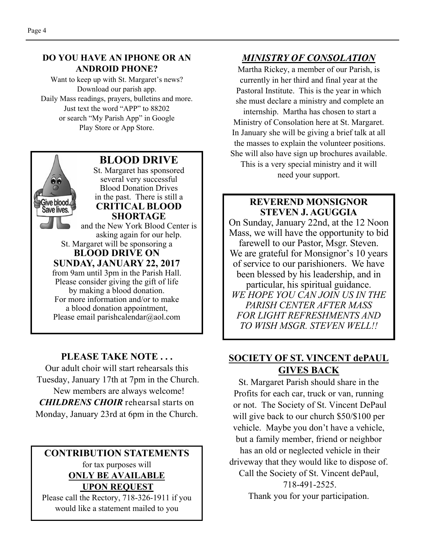#### **DO YOU HAVE AN IPHONE OR AN ANDROID PHONE?**

Want to keep up with St. Margaret's news? Download our parish app. Daily Mass readings, prayers, bulletins and more. Just text the word "APP" to 88202 or search "My Parish App" in Google Play Store or App Store.



#### **PLEASE TAKE NOTE . . .**

Our adult choir will start rehearsals this Tuesday, January 17th at 7pm in the Church. New members are always welcome! *CHILDRENS CHOIR* rehearsal starts on Monday, January 23rd at 6pm in the Church.

#### **CONTRIBUTION STATEMENTS**  for tax purposes will **ONLY BE AVAILABLE UPON REQUEST**

Please call the Rectory, 718-326-1911 if you would like a statement mailed to you

#### *MINISTRY OF CONSOLATION*

Martha Rickey, a member of our Parish, is currently in her third and final year at the Pastoral Institute. This is the year in which she must declare a ministry and complete an internship. Martha has chosen to start a Ministry of Consolation here at St. Margaret. In January she will be giving a brief talk at all the masses to explain the volunteer positions.

She will also have sign up brochures available. This is a very special ministry and it will need your support.

#### **REVEREND MONSIGNOR STEVEN J. AGUGGIA**

On Sunday, January 22nd, at the 12 Noon Mass, we will have the opportunity to bid farewell to our Pastor, Msgr. Steven. We are grateful for Monsignor's 10 years of service to our parishioners. We have been blessed by his leadership, and in particular, his spiritual guidance. *WE HOPE YOU CAN JOIN US IN THE PARISH CENTER AFTER MASS FOR LIGHT REFRESHMENTS AND TO WISH MSGR. STEVEN WELL!!* 

## **SOCIETY OF ST. VINCENT dePAUL GIVES BACK**

St. Margaret Parish should share in the Profits for each car, truck or van, running or not. The Society of St. Vincent DePaul will give back to our church \$50/\$100 per vehicle. Maybe you don't have a vehicle, but a family member, friend or neighbor has an old or neglected vehicle in their driveway that they would like to dispose of. Call the Society of St. Vincent dePaul, 718-491-2525. Thank you for your participation.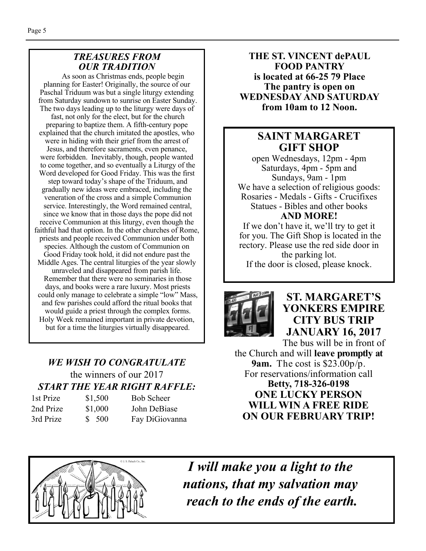#### *TREASURES FROM OUR TRADITION*

 As soon as Christmas ends, people begin planning for Easter! Originally, the source of our Paschal Triduum was but a single liturgy extending from Saturday sundown to sunrise on Easter Sunday. The two days leading up to the liturgy were days of fast, not only for the elect, but for the church preparing to baptize them. A fifth-century pope explained that the church imitated the apostles, who were in hiding with their grief from the arrest of Jesus, and therefore sacraments, even penance, were forbidden. Inevitably, though, people wanted to come together, and so eventually a Liturgy of the Word developed for Good Friday. This was the first step toward today's shape of the Triduum, and gradually new ideas were embraced, including the veneration of the cross and a simple Communion service. Interestingly, the Word remained central, since we know that in those days the pope did not receive Communion at this liturgy, even though the faithful had that option. In the other churches of Rome, priests and people received Communion under both species. Although the custom of Communion on Good Friday took hold, it did not endure past the Middle Ages. The central liturgies of the year slowly unraveled and disappeared from parish life. Remember that there were no seminaries in those days, and books were a rare luxury. Most priests could only manage to celebrate a simple "low" Mass, and few parishes could afford the ritual books that would guide a priest through the complex forms. Holy Week remained important in private devotion, but for a time the liturgies virtually disappeared.

# *WE WISH TO CONGRATULATE*  the winners of our 2017 *START THE YEAR RIGHT RAFFLE:*

| 1st Prize | \$1,500 | <b>Bob Scheer</b> |
|-----------|---------|-------------------|
| 2nd Prize | \$1,000 | John DeBiase      |
| 3rd Prize | \$ 500  | Fay DiGiovanna    |

**THE ST. VINCENT dePAUL FOOD PANTRY is located at 66-25 79 Place The pantry is open on WEDNESDAY AND SATURDAY from 10am to 12 Noon.** 

## **SAINT MARGARET GIFT SHOP**

open Wednesdays, 12pm - 4pm Saturdays, 4pm - 5pm and Sundays, 9am - 1pm We have a selection of religious goods: Rosaries - Medals - Gifts - Crucifixes Statues - Bibles and other books **AND MORE!** 

If we don't have it, we'll try to get it for you. The Gift Shop is located in the rectory. Please use the red side door in the parking lot. If the door is closed, please knock.



# **ST. MARGARET'S YONKERS EMPIRE CITY BUS TRIP JANUARY 16, 2017**

The bus will be in front of the Church and will **leave promptly at 9am.** The cost is \$23.00p/p. For reservations/information call **Betty, 718-326-0198 ONE LUCKY PERSON WILL WIN A FREE RIDE ON OUR FEBRUARY TRIP!** 



*I will make you a light to the nations, that my salvation may reach to the ends of the earth.*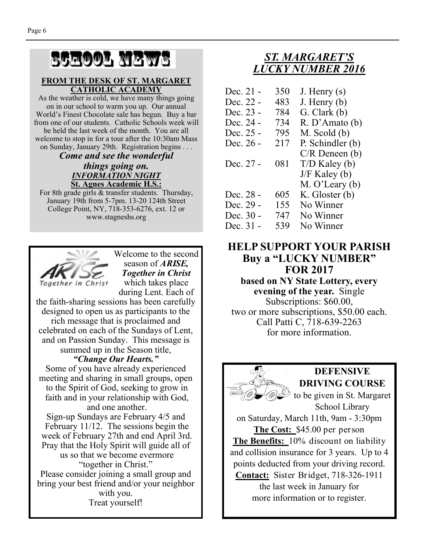# SCHOOL NEWS

#### **FROM THE DESK OF ST. MARGARET CATHOLIC ACADEMY**

As the weather is cold, we have many things going on in our school to warm you up. Our annual World's Finest Chocolate sale has begun. Buy a bar from one of our students. Catholic Schools week will be held the last week of the month. You are all welcome to stop in for a tour after the 10:30am Mass on Sunday, January 29th. Registration begins . . .

#### *Come and see the wonderful things going on. INFORMATION NIGHT*  **St. Agnes Academic H.S.:**

For 8th grade girls & transfer students. Thursday, January 19th from 5-7pm. 13-20 124th Street College Point, NY, 718-353-6276, ext. 12 or www.stagneshs.org



Welcome to the second season of *ARISE, Together in Christ*  which takes place during Lent. Each of

the faith-sharing sessions has been carefully designed to open us as participants to the rich message that is proclaimed and celebrated on each of the Sundays of Lent, and on Passion Sunday. This message is summed up in the Season title,

#### *"Change Our Hearts."*

Some of you have already experienced meeting and sharing in small groups, open to the Spirit of God, seeking to grow in faith and in your relationship with God, and one another.

Sign-up Sundays are February 4/5 and February 11/12. The sessions begin the week of February 27th and end April 3rd. Pray that the Holy Spirit will guide all of us so that we become evermore "together in Christ." Please consider joining a small group and bring your best friend and/or your neighbor with you. Treat yourself!

# *ST. MARGARET'S LUCKY NUMBER 2016*

| Dec. 21 -   | 350 | J. Henry $(s)$      |
|-------------|-----|---------------------|
| Dec. 22 -   | 483 | J. Henry $(b)$      |
| Dec. 23 -   | 784 | G. Clark(b)         |
| Dec. 24 -   | 734 | R. D'Amato (b)      |
| Dec. 25 -   | 795 | $M.$ Scold $(b)$    |
| Dec. 26 -   | 217 | P. Schindler (b)    |
|             |     | $C/R$ Deneen $(b)$  |
| Dec. 27 -   | 081 | $T/D$ Kaley (b)     |
|             |     | $J/F$ Kaley (b)     |
|             |     | $M. O'$ Leary $(b)$ |
| Dec. 28 -   | 605 | K. Gloster (b)      |
| Dec. 29 -   | 155 | No Winner           |
| Dec. $30 -$ | 747 | No Winner           |
| Dec. 31 -   | 539 | No Winner           |

### **HELP SUPPORT YOUR PARISH Buy a "LUCKY NUMBER" FOR 2017**

**based on NY State Lottery, every evening of the year.** Single Subscriptions: \$60.00, two or more subscriptions, \$50.00 each. Call Patti C, 718-639-2263 for more information.



# **DEFENSIVE DRIVING COURSE**

to be given in St. Margaret School Library

on Saturday, March 11th, 9am - 3:30pm **The Cost:** \$45.00 per person **The Benefits:** 10% discount on liability and collision insurance for 3 years. Up to 4 points deducted from your driving record. **Contact:** Sister Bridget, 718-326-1911 the last week in January for

more information or to register.